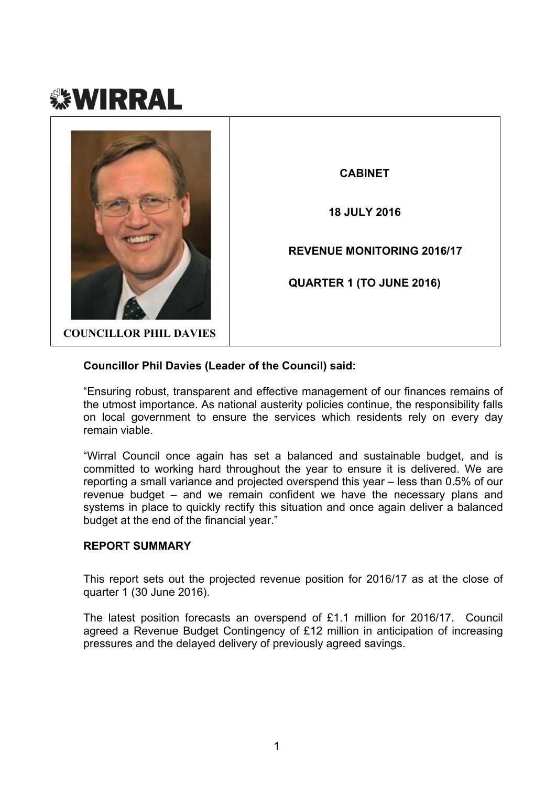



#### **Councillor Phil Davies (Leader of the Council) said:**

"Ensuring robust, transparent and effective management of our finances remains of the utmost importance. As national austerity policies continue, the responsibility falls on local government to ensure the services which residents rely on every day remain viable.

"Wirral Council once again has set a balanced and sustainable budget, and is committed to working hard throughout the year to ensure it is delivered. We are reporting a small variance and projected overspend this year – less than 0.5% of our revenue budget – and we remain confident we have the necessary plans and systems in place to quickly rectify this situation and once again deliver a balanced budget at the end of the financial year."

#### **REPORT SUMMARY**

This report sets out the projected revenue position for 2016/17 as at the close of quarter 1 (30 June 2016).

The latest position forecasts an overspend of £1.1 million for 2016/17. Council agreed a Revenue Budget Contingency of £12 million in anticipation of increasing pressures and the delayed delivery of previously agreed savings.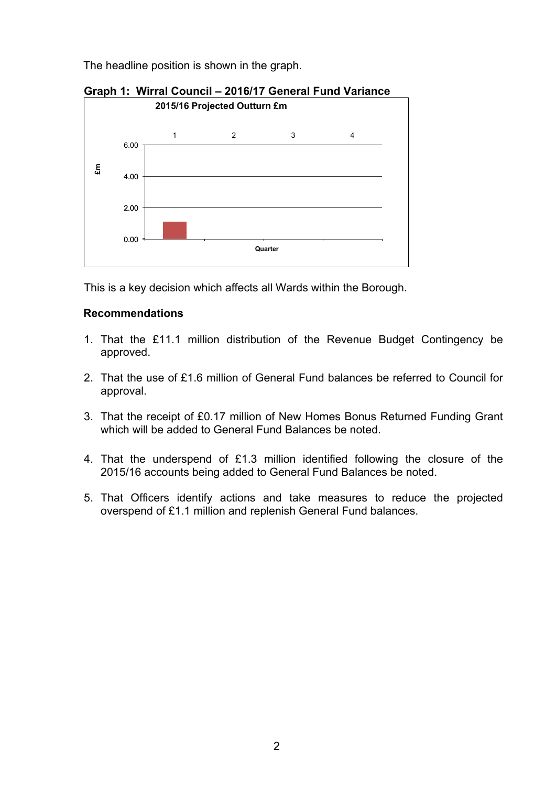The headline position is shown in the graph.



**Graph 1: Wirral Council – 2016/17 General Fund Variance**

This is a key decision which affects all Wards within the Borough.

# **Recommendations**

- 1. That the £11.1 million distribution of the Revenue Budget Contingency be approved.
- 2. That the use of £1.6 million of General Fund balances be referred to Council for approval.
- 3. That the receipt of £0.17 million of New Homes Bonus Returned Funding Grant which will be added to General Fund Balances be noted.
- 4. That the underspend of £1.3 million identified following the closure of the 2015/16 accounts being added to General Fund Balances be noted.
- 5. That Officers identify actions and take measures to reduce the projected overspend of £1.1 million and replenish General Fund balances.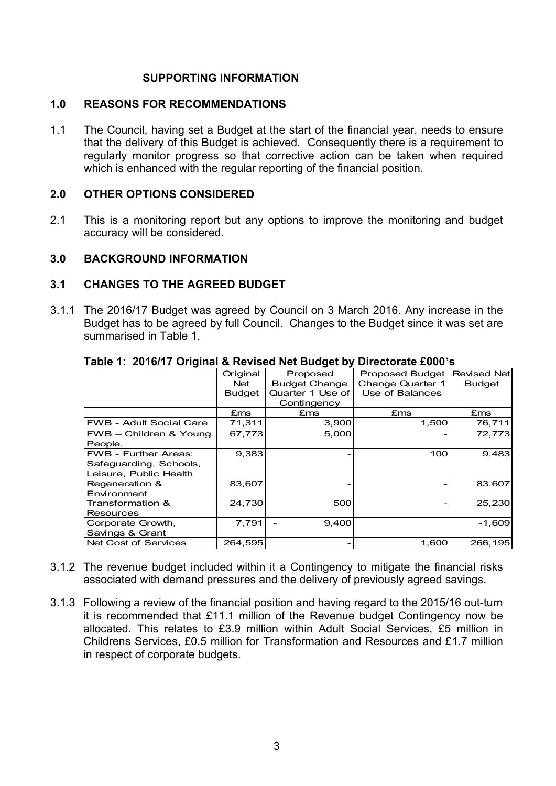### **SUPPORTING INFORMATION**

#### **1.0 REASONS FOR RECOMMENDATIONS**

1.1 The Council, having set a Budget at the start of the financial year, needs to ensure that the delivery of this Budget is achieved. Consequently there is a requirement to regularly monitor progress so that corrective action can be taken when required which is enhanced with the regular reporting of the financial position.

#### **2.0 OTHER OPTIONS CONSIDERED**

2.1 This is a monitoring report but any options to improve the monitoring and budget accuracy will be considered.

#### **3.0 BACKGROUND INFORMATION**

#### **3.1 CHANGES TO THE AGREED BUDGET**

3.1.1 The 2016/17 Budget was agreed by Council on 3 March 2016. Any increase in the Budget has to be agreed by full Council. Changes to the Budget since it was set are summarised in Table 1.

| $\frac{1}{2}$                  |               |                      | <u></u>                |                    |
|--------------------------------|---------------|----------------------|------------------------|--------------------|
|                                | Original      | Proposed             | <b>Proposed Budget</b> | <b>Revised Net</b> |
|                                | <b>Net</b>    | <b>Budget Change</b> | Change Quarter 1       | <b>Budget</b>      |
|                                | <b>Budget</b> | Quarter 1 Use of     | Use of Balances        |                    |
|                                |               | Contingency          |                        |                    |
|                                | £ms           | £ms                  | £ms                    | £ms                |
| <b>FWB - Adult Social Care</b> | 71,311        | 3,900                | 1,500                  | 76,711             |
| FWB - Children & Young         | 67,773        | 5,000                |                        | 72,773             |
| People,                        |               |                      |                        |                    |
| <b>FWB - Further Areas:</b>    | 9,383         |                      | 100                    | 9,483              |
| Safeguarding, Schools,         |               |                      |                        |                    |
| Leisure, Public Health         |               |                      |                        |                    |
| Regeneration &                 | 83,607        |                      |                        | 83,607             |
| Environment                    |               |                      |                        |                    |
| Transformation &               | 24.730        | 500                  |                        | 25,230             |
| <b>Resources</b>               |               |                      |                        |                    |
| Corporate Growth,              | 7,791         | 9,400                |                        | $-1,609$           |
| Savings & Grant                |               |                      |                        |                    |
| <b>Net Cost of Services</b>    | 264,595       |                      | 1,600                  | 266,195            |

#### **Table 1: 2016/17 Original & Revised Net Budget by Directorate £000's**

- 3.1.2 The revenue budget included within it a Contingency to mitigate the financial risks associated with demand pressures and the delivery of previously agreed savings.
- 3.1.3 Following a review of the financial position and having regard to the 2015/16 out-turn it is recommended that £11.1 million of the Revenue budget Contingency now be allocated. This relates to £3.9 million within Adult Social Services, £5 million in Childrens Services, £0.5 million for Transformation and Resources and £1.7 million in respect of corporate budgets.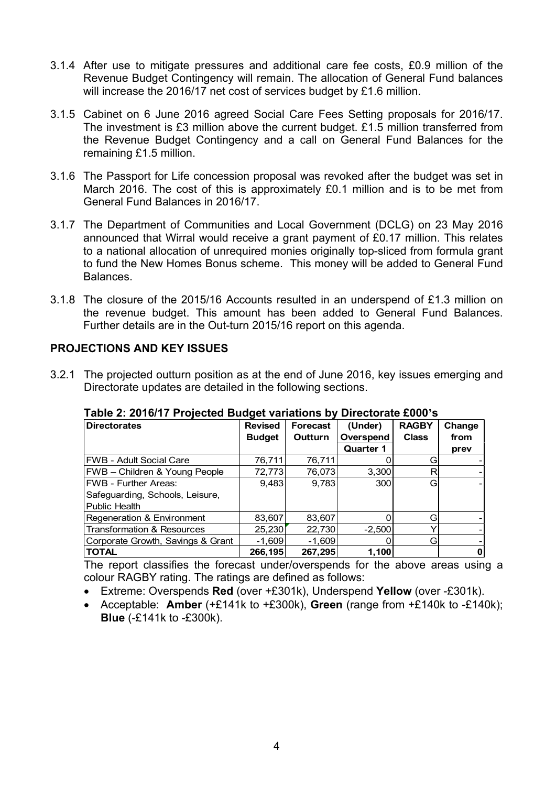- 3.1.4 After use to mitigate pressures and additional care fee costs, £0.9 million of the Revenue Budget Contingency will remain. The allocation of General Fund balances will increase the 2016/17 net cost of services budget by £1.6 million.
- 3.1.5 Cabinet on 6 June 2016 agreed Social Care Fees Setting proposals for 2016/17. The investment is £3 million above the current budget. £1.5 million transferred from the Revenue Budget Contingency and a call on General Fund Balances for the remaining £1.5 million.
- 3.1.6 The Passport for Life concession proposal was revoked after the budget was set in March 2016. The cost of this is approximately £0.1 million and is to be met from General Fund Balances in 2016/17.
- 3.1.7 The Department of Communities and Local Government (DCLG) on 23 May 2016 announced that Wirral would receive a grant payment of £0.17 million. This relates to a national allocation of unrequired monies originally top-sliced from formula grant to fund the New Homes Bonus scheme. This money will be added to General Fund Balances.
- 3.1.8 The closure of the 2015/16 Accounts resulted in an underspend of £1.3 million on the revenue budget. This amount has been added to General Fund Balances. Further details are in the Out-turn 2015/16 report on this agenda.

### **PROJECTIONS AND KEY ISSUES**

3.2.1 The projected outturn position as at the end of June 2016, key issues emerging and Directorate updates are detailed in the following sections.

| <b>Directorates</b>               | <b>Revised</b> | <b>Forecast</b> | (Under)          | <b>RAGBY</b> | Change |
|-----------------------------------|----------------|-----------------|------------------|--------------|--------|
|                                   | <b>Budget</b>  | Outturn         | Overspend        | <b>Class</b> | from   |
|                                   |                |                 | <b>Quarter 1</b> |              | prev   |
| FWB - Adult Social Care           | 76,711         | 76,711          |                  |              |        |
| FWB - Children & Young People     | 72,773         | 76,073          | 3,300            | R            |        |
| <b>FWB - Further Areas:</b>       | 9,483          | 9,783           | 300              | Gı           |        |
| Safeguarding, Schools, Leisure,   |                |                 |                  |              |        |
| Public Health                     |                |                 |                  |              |        |
| Regeneration & Environment        | 83,607         | 83,607          |                  | G            |        |
| Transformation & Resources        | 25,230         | 22,730          | $-2,500$         |              |        |
| Corporate Growth, Savings & Grant | $-1,609$       | $-1,609$        |                  | Gl           |        |
| <b>TOTAL</b>                      | 266,195        | 267,295         | 1,100            |              | U      |

**Table 2: 2016/17 Projected Budget variations by Directorate £000's**

The report classifies the forecast under/overspends for the above areas using a colour RAGBY rating. The ratings are defined as follows:

- Extreme: Overspends **Red** (over +£301k), Underspend **Yellow** (over -£301k).
- Acceptable: **Amber** (+£141k to +£300k), **Green** (range from +£140k to -£140k); **Blue** (-£141k to -£300k).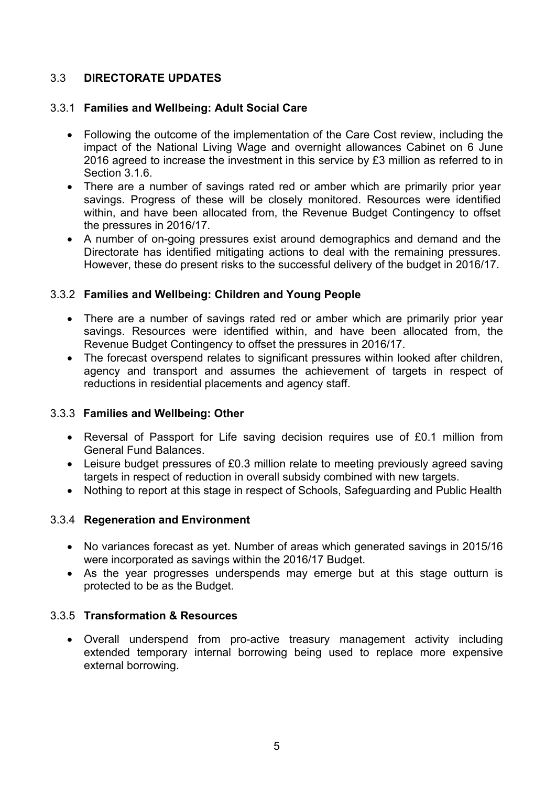# 3.3 **DIRECTORATE UPDATES**

### 3.3.1 **Families and Wellbeing: Adult Social Care**

- Following the outcome of the implementation of the Care Cost review, including the impact of the National Living Wage and overnight allowances Cabinet on 6 June 2016 agreed to increase the investment in this service by £3 million as referred to in Section 3.1.6
- There are a number of savings rated red or amber which are primarily prior year savings. Progress of these will be closely monitored. Resources were identified within, and have been allocated from, the Revenue Budget Contingency to offset the pressures in 2016/17.
- A number of on-going pressures exist around demographics and demand and the Directorate has identified mitigating actions to deal with the remaining pressures. However, these do present risks to the successful delivery of the budget in 2016/17.

### 3.3.2 **Families and Wellbeing: Children and Young People**

- There are a number of savings rated red or amber which are primarily prior year savings. Resources were identified within, and have been allocated from, the Revenue Budget Contingency to offset the pressures in 2016/17.
- The forecast overspend relates to significant pressures within looked after children, agency and transport and assumes the achievement of targets in respect of reductions in residential placements and agency staff.

# 3.3.3 **Families and Wellbeing: Other**

- Reversal of Passport for Life saving decision requires use of £0.1 million from General Fund Balances.
- Leisure budget pressures of £0.3 million relate to meeting previously agreed saving targets in respect of reduction in overall subsidy combined with new targets.
- Nothing to report at this stage in respect of Schools, Safeguarding and Public Health

#### 3.3.4 **Regeneration and Environment**

- No variances forecast as yet. Number of areas which generated savings in 2015/16 were incorporated as savings within the 2016/17 Budget.
- As the year progresses underspends may emerge but at this stage outturn is protected to be as the Budget.

#### 3.3.5 **Transformation & Resources**

 Overall underspend from pro-active treasury management activity including extended temporary internal borrowing being used to replace more expensive external borrowing.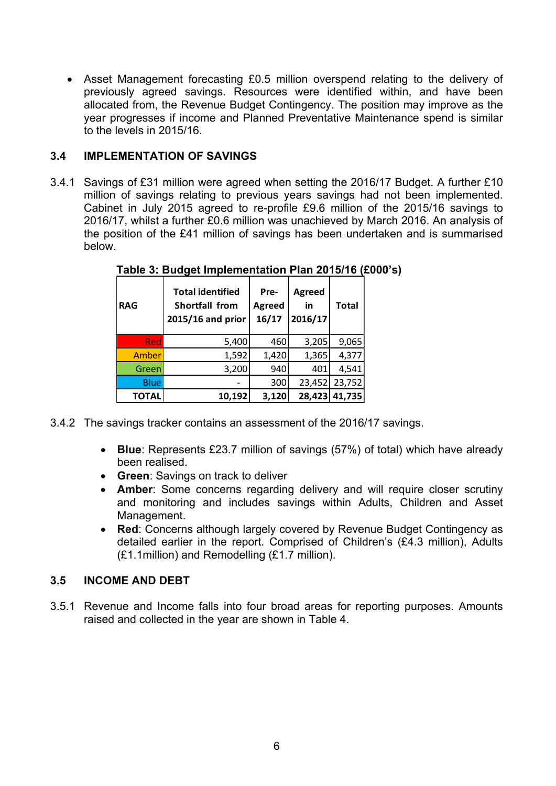Asset Management forecasting £0.5 million overspend relating to the delivery of previously agreed savings. Resources were identified within, and have been allocated from, the Revenue Budget Contingency. The position may improve as the year progresses if income and Planned Preventative Maintenance spend is similar to the levels in 2015/16.

# **3.4 IMPLEMENTATION OF SAVINGS**

3.4.1 Savings of £31 million were agreed when setting the 2016/17 Budget. A further £10 million of savings relating to previous years savings had not been implemented. Cabinet in July 2015 agreed to re-profile £9.6 million of the 2015/16 savings to 2016/17, whilst a further £0.6 million was unachieved by March 2016. An analysis of the position of the £41 million of savings has been undertaken and is summarised below.

| <b>RAG</b>   | <b>Total identified</b><br>Shortfall from<br>2015/16 and prior | Pre-<br><b>Agreed</b><br>16/17 | <b>Agreed</b><br>in<br>2016/17 | <b>Total</b> |
|--------------|----------------------------------------------------------------|--------------------------------|--------------------------------|--------------|
| Red          | 5,400                                                          | 460                            | 3,205                          | 9,065        |
| Amber        | 1,592                                                          | 1,420                          | 1,365                          | 4,377        |
| Green        | 3,200                                                          | 940                            | 401                            | 4,541        |
| <b>Blue</b>  |                                                                | 300                            | 23,452                         | 23,752       |
| <b>TOTAL</b> | 10,192                                                         | 3,120                          | 28,423                         | 41,735       |

**Table 3: Budget Implementation Plan 2015/16 (£000's)**

- 3.4.2 The savings tracker contains an assessment of the 2016/17 savings.
	- **Blue**: Represents £23.7 million of savings (57%) of total) which have already been realised.
	- **Green**: Savings on track to deliver
	- **Amber**: Some concerns regarding delivery and will require closer scrutiny and monitoring and includes savings within Adults, Children and Asset Management.
	- **Red**: Concerns although largely covered by Revenue Budget Contingency as detailed earlier in the report. Comprised of Children's (£4.3 million), Adults (£1.1million) and Remodelling (£1.7 million).

# **3.5 INCOME AND DEBT**

3.5.1 Revenue and Income falls into four broad areas for reporting purposes. Amounts raised and collected in the year are shown in Table 4.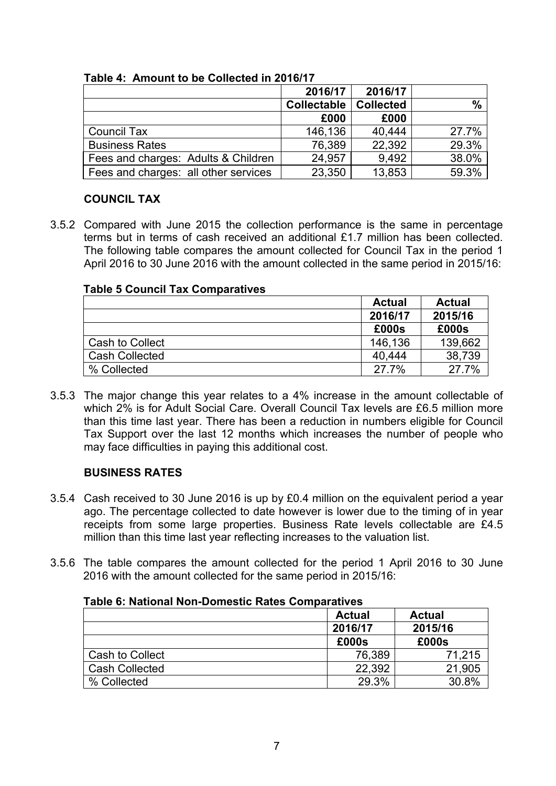|                                      | 2016/17            | 2016/17          |               |
|--------------------------------------|--------------------|------------------|---------------|
|                                      | <b>Collectable</b> | <b>Collected</b> | $\frac{0}{0}$ |
|                                      | £000               | £000             |               |
| <b>Council Tax</b>                   | 146,136            | 40,444           | 27.7%         |
| <b>Business Rates</b>                | 76,389             | 22,392           | 29.3%         |
| Fees and charges: Adults & Children  | 24,957             | 9.492            | 38.0%         |
| Fees and charges: all other services | 23,350             | 13,853           | 59.3%         |

**Table 4: Amount to be Collected in 2016/17**

# **COUNCIL TAX**

3.5.2 Compared with June 2015 the collection performance is the same in percentage terms but in terms of cash received an additional £1.7 million has been collected. The following table compares the amount collected for Council Tax in the period 1 April 2016 to 30 June 2016 with the amount collected in the same period in 2015/16:

# **Table 5 Council Tax Comparatives**

|                       | <b>Actual</b> | <b>Actual</b> |
|-----------------------|---------------|---------------|
|                       | 2016/17       | 2015/16       |
|                       | £000s         | £000s         |
| Cash to Collect       | 146,136       | 139,662       |
| <b>Cash Collected</b> | 40.444        | 38,739        |
| % Collected           | 27.7%         | 27.7%         |

3.5.3 The major change this year relates to a 4% increase in the amount collectable of which 2% is for Adult Social Care. Overall Council Tax levels are £6.5 million more than this time last year. There has been a reduction in numbers eligible for Council Tax Support over the last 12 months which increases the number of people who may face difficulties in paying this additional cost.

# **BUSINESS RATES**

- 3.5.4 Cash received to 30 June 2016 is up by £0.4 million on the equivalent period a year ago. The percentage collected to date however is lower due to the timing of in year receipts from some large properties. Business Rate levels collectable are £4.5 million than this time last year reflecting increases to the valuation list.
- 3.5.6 The table compares the amount collected for the period 1 April 2016 to 30 June 2016 with the amount collected for the same period in 2015/16:

| $1$ uviv VI I Iuliviiui I IVII PVIIIVULIV I IULUV VOIIIIPUI ULITUV | <b>Actual</b> | <b>Actual</b> |
|--------------------------------------------------------------------|---------------|---------------|
|                                                                    | 2016/17       | 2015/16       |
|                                                                    | £000s         | £000s         |
| Cash to Collect                                                    | 76,389        | 71,215        |
| <b>Cash Collected</b>                                              | 22,392        | 21,905        |
| % Collected                                                        | 29.3%         | 30.8%         |

#### **Table 6: National Non-Domestic Rates Comparatives**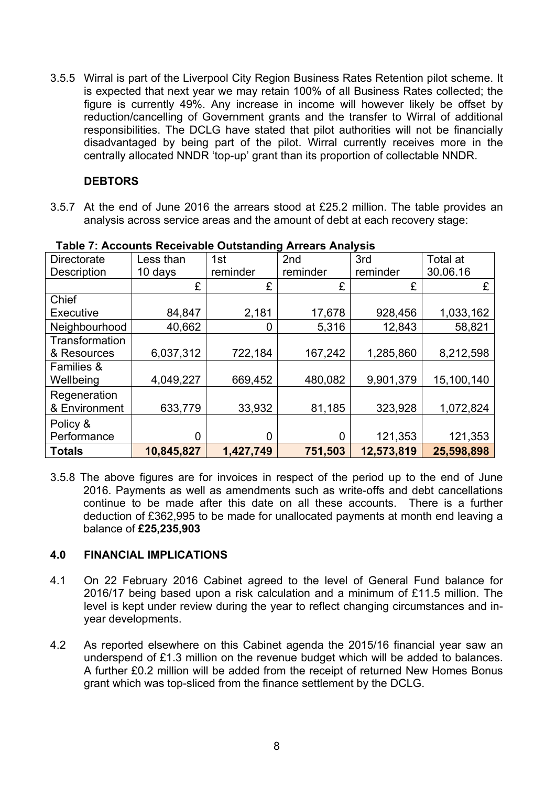3.5.5 Wirral is part of the Liverpool City Region Business Rates Retention pilot scheme. It is expected that next year we may retain 100% of all Business Rates collected; the figure is currently 49%. Any increase in income will however likely be offset by reduction/cancelling of Government grants and the transfer to Wirral of additional responsibilities. The DCLG have stated that pilot authorities will not be financially disadvantaged by being part of the pilot. Wirral currently receives more in the centrally allocated NNDR 'top-up' grant than its proportion of collectable NNDR.

### **DEBTORS**

3.5.7 At the end of June 2016 the arrears stood at £25.2 million. The table provides an analysis across service areas and the amount of debt at each recovery stage:

| <b>Directorate</b>    | Less than  | 1st       | 2nd      | 3rd        | Total at   |
|-----------------------|------------|-----------|----------|------------|------------|
| <b>Description</b>    | 10 days    | reminder  | reminder | reminder   | 30.06.16   |
|                       | £          | £         | £        | £          | £          |
| Chief                 |            |           |          |            |            |
| <b>Executive</b>      | 84,847     | 2,181     | 17,678   | 928,456    | 1,033,162  |
| Neighbourhood         | 40,662     | 0         | 5,316    | 12,843     | 58,821     |
| Transformation        |            |           |          |            |            |
| & Resources           | 6,037,312  | 722,184   | 167,242  | 1,285,860  | 8,212,598  |
| <b>Families &amp;</b> |            |           |          |            |            |
| Wellbeing             | 4,049,227  | 669,452   | 480,082  | 9,901,379  | 15,100,140 |
| Regeneration          |            |           |          |            |            |
| & Environment         | 633,779    | 33,932    | 81,185   | 323,928    | 1,072,824  |
| Policy &              |            |           |          |            |            |
| Performance           | 0          | 0         | 0        | 121,353    | 121,353    |
| <b>Totals</b>         | 10,845,827 | 1,427,749 | 751,503  | 12,573,819 | 25,598,898 |

#### **Table 7: Accounts Receivable Outstanding Arrears Analysis**

3.5.8 The above figures are for invoices in respect of the period up to the end of June 2016. Payments as well as amendments such as write-offs and debt cancellations continue to be made after this date on all these accounts. There is a further deduction of £362,995 to be made for unallocated payments at month end leaving a balance of **£25,235,903**

# **4.0 FINANCIAL IMPLICATIONS**

- 4.1 On 22 February 2016 Cabinet agreed to the level of General Fund balance for 2016/17 being based upon a risk calculation and a minimum of £11.5 million. The level is kept under review during the year to reflect changing circumstances and inyear developments.
- 4.2 As reported elsewhere on this Cabinet agenda the 2015/16 financial year saw an underspend of £1.3 million on the revenue budget which will be added to balances. A further £0.2 million will be added from the receipt of returned New Homes Bonus grant which was top-sliced from the finance settlement by the DCLG.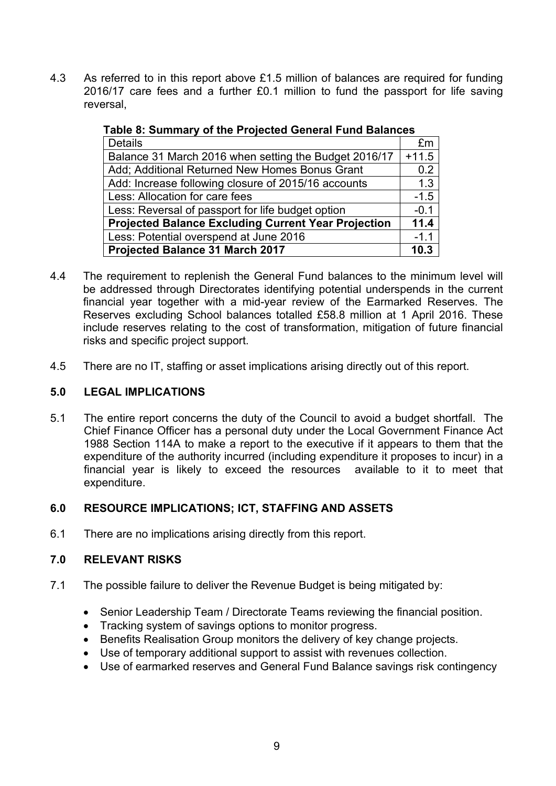4.3 As referred to in this report above £1.5 million of balances are required for funding 2016/17 care fees and a further £0.1 million to fund the passport for life saving reversal,

| 1 apro 0. Odininary 01 the Frojected Ocherar Fand Dalances |         |  |
|------------------------------------------------------------|---------|--|
| <b>Details</b>                                             | £m      |  |
| Balance 31 March 2016 when setting the Budget 2016/17      | $+11.5$ |  |
| Add; Additional Returned New Homes Bonus Grant             | 0.2     |  |
| Add: Increase following closure of 2015/16 accounts        | 1.3     |  |
| Less: Allocation for care fees                             | $-1.5$  |  |
| Less: Reversal of passport for life budget option          | $-0.1$  |  |
| <b>Projected Balance Excluding Current Year Projection</b> |         |  |
| Less: Potential overspend at June 2016                     | $-1.1$  |  |
| Projected Balance 31 March 2017                            |         |  |

**Table 8: Summary of the Projected General Fund Balances**

- 4.4 The requirement to replenish the General Fund balances to the minimum level will be addressed through Directorates identifying potential underspends in the current financial year together with a mid-year review of the Earmarked Reserves. The Reserves excluding School balances totalled £58.8 million at 1 April 2016. These include reserves relating to the cost of transformation, mitigation of future financial risks and specific project support.
- 4.5 There are no IT, staffing or asset implications arising directly out of this report.

### **5.0 LEGAL IMPLICATIONS**

5.1 The entire report concerns the duty of the Council to avoid a budget shortfall. The Chief Finance Officer has a personal duty under the Local Government Finance Act 1988 Section 114A to make a report to the executive if it appears to them that the expenditure of the authority incurred (including expenditure it proposes to incur) in a financial year is likely to exceed the resources available to it to meet that expenditure.

# **6.0 RESOURCE IMPLICATIONS; ICT, STAFFING AND ASSETS**

6.1 There are no implications arising directly from this report.

# **7.0 RELEVANT RISKS**

- 7.1 The possible failure to deliver the Revenue Budget is being mitigated by:
	- Senior Leadership Team / Directorate Teams reviewing the financial position.
	- Tracking system of savings options to monitor progress.
	- Benefits Realisation Group monitors the delivery of key change projects.
	- Use of temporary additional support to assist with revenues collection.
	- Use of earmarked reserves and General Fund Balance savings risk contingency